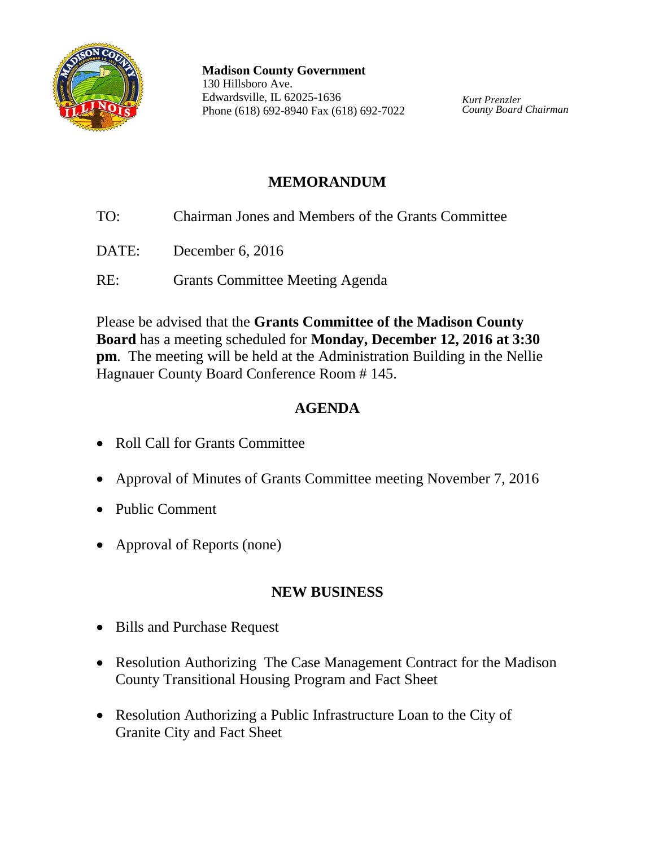

**Madison County Government** 130 Hillsboro Ave. Edwardsville, IL 62025-1636 Phone (618) 692-8940 Fax (618) 692-7022

*Kurt Prenzler County Board Chairman*

# **MEMORANDUM**

- TO: Chairman Jones and Members of the Grants Committee
- DATE: December 6, 2016
- RE: Grants Committee Meeting Agenda

Please be advised that the **Grants Committee of the Madison County Board** has a meeting scheduled for **Monday, December 12, 2016 at 3:30 pm**. The meeting will be held at the Administration Building in the Nellie Hagnauer County Board Conference Room # 145.

# **AGENDA**

- Roll Call for Grants Committee
- Approval of Minutes of Grants Committee meeting November 7, 2016
- Public Comment
- Approval of Reports (none)

## **NEW BUSINESS**

- Bills and Purchase Request
- Resolution Authorizing The Case Management Contract for the Madison County Transitional Housing Program and Fact Sheet
- Resolution Authorizing a Public Infrastructure Loan to the City of Granite City and Fact Sheet